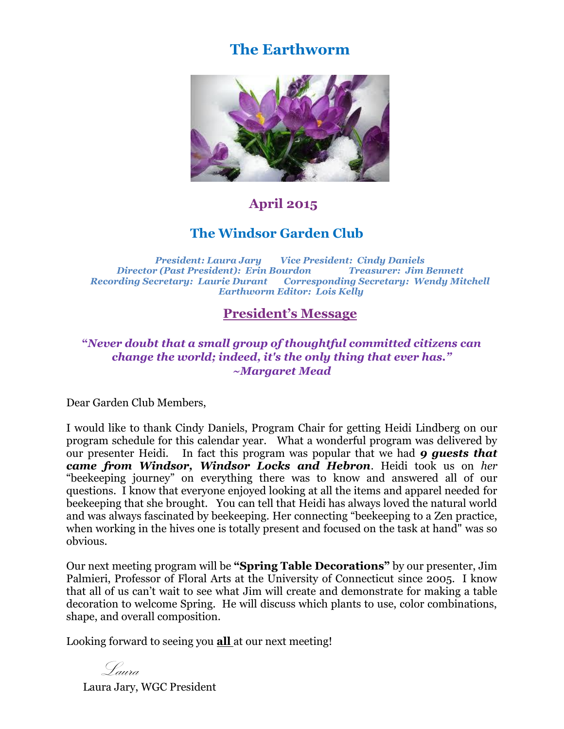# **The Earthworm**



### **April 2015**

#### **The Windsor Garden Club**

*President: Laura Jary Vice President: Cindy Daniels Director (Past President): Erin Bourdon Treasurer: Jim Bennett Recording Secretary: Laurie Durant Corresponding Secretary: Wendy Mitchell Earthworm Editor: Lois Kelly*

#### **President's Message**

#### **"***Never doubt that a small group of thoughtful committed citizens can change the world; indeed, it's the only thing that ever has." [~Margaret Mead](http://www.brainyquote.com/quotes/authors/m/margaret_mead.html)*

Dear Garden Club Members,

I would like to thank Cindy Daniels, Program Chair for getting Heidi Lindberg on our program schedule for this calendar year. What a wonderful program was delivered by our presenter Heidi. In fact this program was popular that we had *9 guests that came from Windsor, Windsor Locks and Hebron*. Heidi took us on *her* "beekeeping journey" on everything there was to know and answered all of our questions. I know that everyone enjoyed looking at all the items and apparel needed for beekeeping that she brought. You can tell that Heidi has always loved the natural world and was always fascinated by beekeeping. Her connecting "beekeeping to a Zen practice, when working in the hives one is totally present and focused on the task at hand" was so obvious.

Our next meeting program will be **"Spring Table Decorations"** by our presenter, Jim Palmieri, Professor of Floral Arts at the University of Connecticut since 2005. I know that all of us can't wait to see what Jim will create and demonstrate for making a table decoration to welcome Spring. He will discuss which plants to use, color combinations, shape, and overall composition.

Looking forward to seeing you **all** at our next meeting!

Laura

Laura Jary, WGC President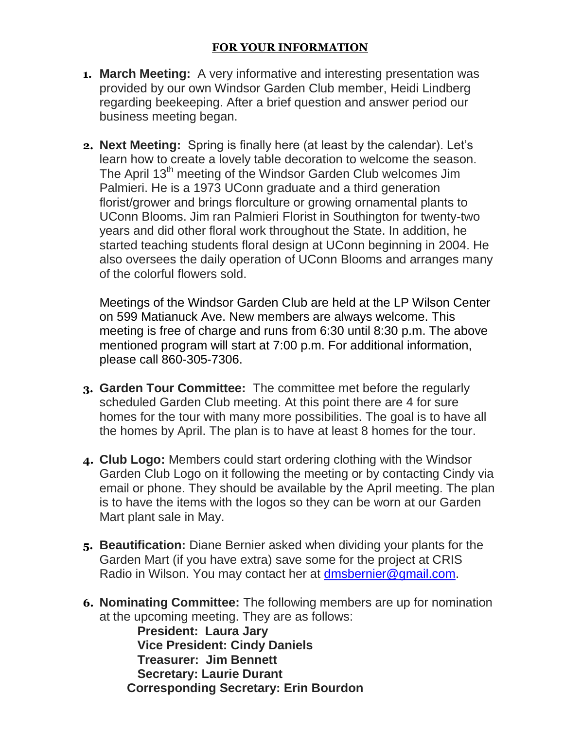- **1. March Meeting:** A very informative and interesting presentation was provided by our own Windsor Garden Club member, Heidi Lindberg regarding beekeeping. After a brief question and answer period our business meeting began.
- **2. Next Meeting:** Spring is finally here (at least by the calendar). Let's learn how to create a lovely table decoration to welcome the season. The April 13<sup>th</sup> meeting of the Windsor Garden Club welcomes Jim Palmieri. He is a 1973 UConn graduate and a third generation florist/grower and brings florculture or growing ornamental plants to UConn Blooms. Jim ran Palmieri Florist in Southington for twenty-two years and did other floral work throughout the State. In addition, he started teaching students floral design at UConn beginning in 2004. He also oversees the daily operation of UConn Blooms and arranges many of the colorful flowers sold.

Meetings of the Windsor Garden Club are held at the LP Wilson Center on 599 Matianuck Ave. New members are always welcome. This meeting is free of charge and runs from 6:30 until 8:30 p.m. The above mentioned program will start at 7:00 p.m. For additional information, please call 860-305-7306.

- **3. Garden Tour Committee:** The committee met before the regularly scheduled Garden Club meeting. At this point there are 4 for sure homes for the tour with many more possibilities. The goal is to have all the homes by April. The plan is to have at least 8 homes for the tour.
- **4. Club Logo:** Members could start ordering clothing with the Windsor Garden Club Logo on it following the meeting or by contacting Cindy via email or phone. They should be available by the April meeting. The plan is to have the items with the logos so they can be worn at our Garden Mart plant sale in May.
- **5. Beautification:** Diane Bernier asked when dividing your plants for the Garden Mart (if you have extra) save some for the project at CRIS Radio in Wilson. You may contact her at [dmsbernier@gmail.com.](mailto:dmsbernier@gmail.com)
- **6. Nominating Committee:** The following members are up for nomination at the upcoming meeting. They are as follows:

 **President: Laura Jary Vice President: Cindy Daniels Treasurer: Jim Bennett Secretary: Laurie Durant Corresponding Secretary: Erin Bourdon**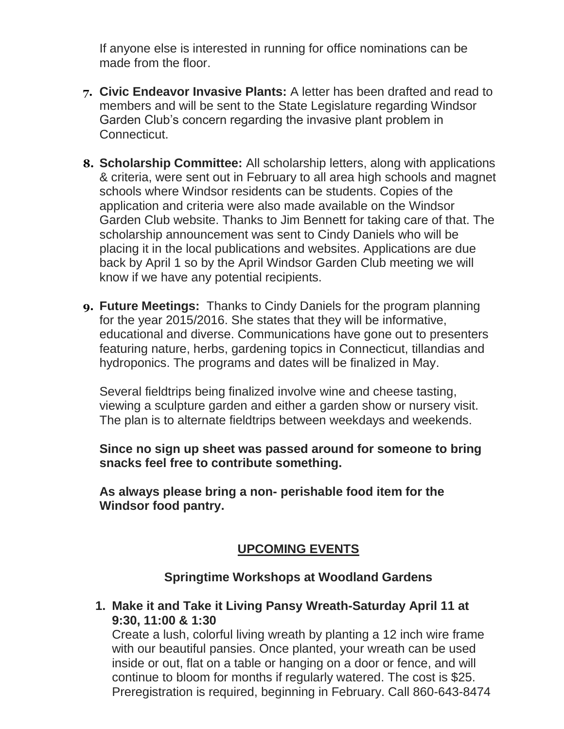If anyone else is interested in running for office nominations can be made from the floor

- **7. Civic Endeavor Invasive Plants:** A letter has been drafted and read to members and will be sent to the State Legislature regarding Windsor Garden Club's concern regarding the invasive plant problem in Connecticut.
- **8. Scholarship Committee:** All scholarship letters, along with applications & criteria, were sent out in February to all area high schools and magnet schools where Windsor residents can be students. Copies of the application and criteria were also made available on the Windsor Garden Club website. Thanks to Jim Bennett for taking care of that. The scholarship announcement was sent to Cindy Daniels who will be placing it in the local publications and websites. Applications are due back by April 1 so by the April Windsor Garden Club meeting we will know if we have any potential recipients.
- **9. Future Meetings:** Thanks to Cindy Daniels for the program planning for the year 2015/2016. She states that they will be informative, educational and diverse. Communications have gone out to presenters featuring nature, herbs, gardening topics in Connecticut, tillandias and hydroponics. The programs and dates will be finalized in May.

Several fieldtrips being finalized involve wine and cheese tasting, viewing a sculpture garden and either a garden show or nursery visit. The plan is to alternate fieldtrips between weekdays and weekends.

**Since no sign up sheet was passed around for someone to bring snacks feel free to contribute something.** 

**As always please bring a non- perishable food item for the Windsor food pantry.**

## **UPCOMING EVENTS**

#### **Springtime Workshops at Woodland Gardens**

**1. Make it and Take it Living Pansy Wreath-Saturday April 11 at 9:30, 11:00 & 1:30**

Create a lush, colorful living wreath by planting a 12 inch wire frame with our beautiful pansies. Once planted, your wreath can be used inside or out, flat on a table or hanging on a door or fence, and will continue to bloom for months if regularly watered. The cost is \$25. Preregistration is required, beginning in February. Call 860-643-8474